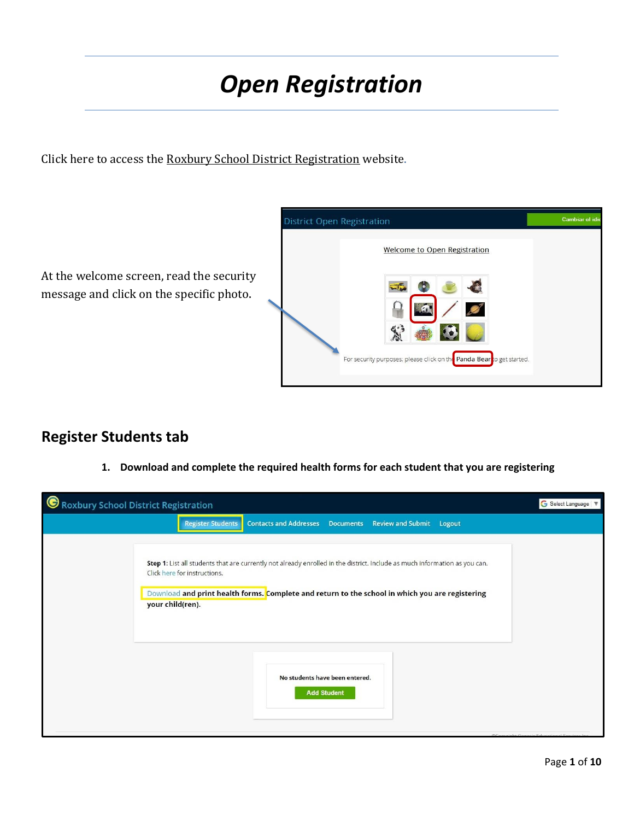# *Open Registration*

Click here to access the [Roxbury School District Registration](https://genesis.roxbury.org/genesis/openReg?screen=welcomeScreen&action=form) website.



# **Register Students tab**

**1. Download and complete the required health forms for each student that you are registering**

| Roxbury School District Registration |                                                                                                                                                                                                                                                               | G Select Language   V                |
|--------------------------------------|---------------------------------------------------------------------------------------------------------------------------------------------------------------------------------------------------------------------------------------------------------------|--------------------------------------|
|                                      | <b>Register Students</b><br><b>Contacts and Addresses</b><br>Documents Review and Submit<br>Logout                                                                                                                                                            |                                      |
| your child(ren).                     | Step 1: List all students that are currently not already enrolled in the district. Include as much information as you can.<br>Click here for instructions.<br>Download and print health forms. Complete and return to the school in which you are registering |                                      |
|                                      | No students have been entered.<br><b>Add Student</b>                                                                                                                                                                                                          | @Campinha Canadia Educational Candro |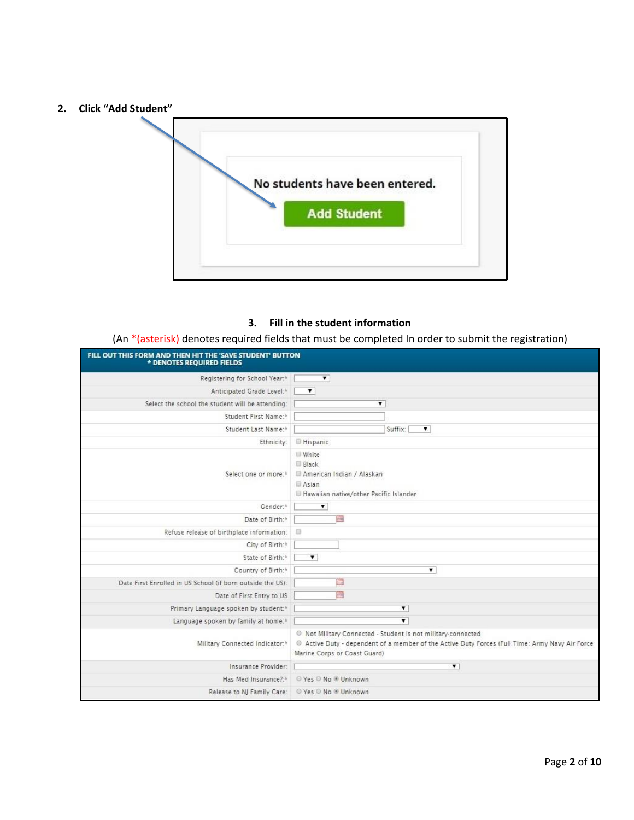**2. Click "Add Student"**



#### **3. Fill in the student information**

(An \*(asterisk) denotes required fields that must be completed In order to submit the registration)

| FILL OUT THIS FORM AND THEN HIT THE 'SAVE STUDENT' BUTTON<br>* DENOTES REQUIRED FIELDS |                                                                                                                                                                                                          |
|----------------------------------------------------------------------------------------|----------------------------------------------------------------------------------------------------------------------------------------------------------------------------------------------------------|
| Registering for School Year:*                                                          | $\overline{\mathbf{v}}$                                                                                                                                                                                  |
| Anticipated Grade Level:*                                                              | $\mathbf{v}$                                                                                                                                                                                             |
| Select the school the student will be attending:                                       | ▼                                                                                                                                                                                                        |
| Student First Name:*                                                                   |                                                                                                                                                                                                          |
| Student Last Name:*                                                                    | Suffix:<br>$\mathbf{v}$                                                                                                                                                                                  |
| Ethnicity:                                                                             | <b>Hispanic</b>                                                                                                                                                                                          |
| Select one or more:*                                                                   | White<br>Black<br>American Indian / Alaskan<br>Asian<br>Hawaiian native/other Pacific Islander                                                                                                           |
| Gender:*                                                                               | $\overline{\mathbf{r}}$                                                                                                                                                                                  |
| Date of Birth:*                                                                        | <b>Tart</b>                                                                                                                                                                                              |
| Refuse release of birthplace information:                                              | D                                                                                                                                                                                                        |
| City of Birth:*                                                                        |                                                                                                                                                                                                          |
| State of Birth:*                                                                       | $\mathbf{v}$                                                                                                                                                                                             |
| Country of Birth:*                                                                     | ۷                                                                                                                                                                                                        |
| Date First Enrolled in US School (if born outside the US):                             | ħ                                                                                                                                                                                                        |
| Date of First Entry to US                                                              | <b>o</b>                                                                                                                                                                                                 |
| Primary Language spoken by student:*                                                   | $\overline{\mathbf{v}}$                                                                                                                                                                                  |
| Language spoken by family at home: <sup>*</sup>                                        | $\overline{\mathbf{v}}$                                                                                                                                                                                  |
| Military Connected Indicator:*                                                         | <sup>O</sup> Not Military Connected - Student is not military-connected<br>Active Duty - dependent of a member of the Active Duty Forces (Full Time: Army Navy Air Force<br>Marine Corps or Coast Guard) |
| Insurance Provider:                                                                    | $\mathbf{v}$                                                                                                                                                                                             |
| Has Med Insurance?:*                                                                   | © Yes © No ® Unknown                                                                                                                                                                                     |
| Release to NJ Family Care:                                                             | © Yes © No ® Unknown                                                                                                                                                                                     |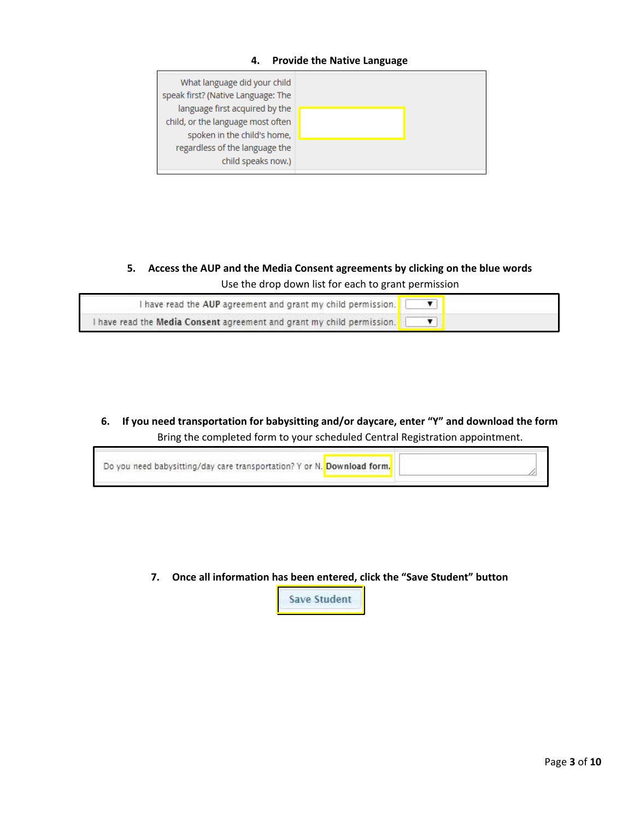#### **4. Provide the Native Language**

| What language did your child<br>speak first? (Native Language: The |  |
|--------------------------------------------------------------------|--|
| language first acquired by the                                     |  |
| child, or the language most often                                  |  |
| spoken in the child's home,                                        |  |
| regardless of the language the                                     |  |
| child speaks now.)                                                 |  |
|                                                                    |  |

**5. Access the AUP and the Media Consent agreements by clicking on the blue words** Use the drop down list for each to grant permission

| I have read the AUP agreement and grant my child permission.           |  |
|------------------------------------------------------------------------|--|
| I have read the Media Consent agreement and grant my child permission. |  |

**6. If you need transportation for babysitting and/or daycare, enter "Y" and download the form** Bring the completed form to your scheduled Central Registration appointment.

| Do you need babysitting/day care transportation? Y or N. Download form. |  |
|-------------------------------------------------------------------------|--|
|-------------------------------------------------------------------------|--|

**7. Once all information has been entered, click the "Save Student" button**

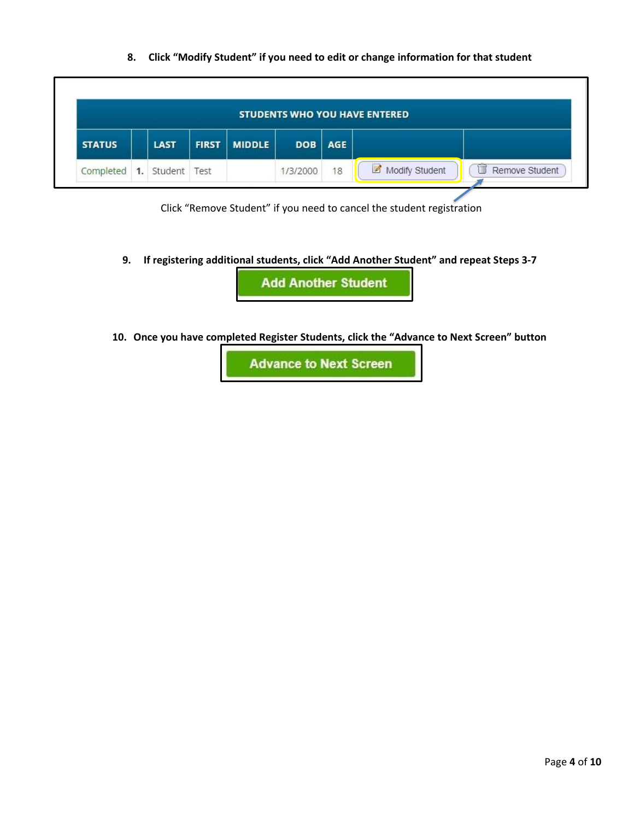**8. Click "Modify Student" if you need to edit or change information for that student**

|               |    |                     |              |               |            |            | <b>STUDENTS WHO YOU HAVE ENTERED</b> |                |
|---------------|----|---------------------|--------------|---------------|------------|------------|--------------------------------------|----------------|
| <b>STATUS</b> |    | LAST                | <b>FIRST</b> | <b>MIDDLE</b> | <b>DOB</b> | <b>AGE</b> |                                      |                |
| Completed     | 1. | Student <b>Test</b> |              |               | 1/3/2000   | 18         | Modify Student                       | Remove Student |

Click "Remove Student" if you need to cancel the student registration

**9. If registering additional students, click "Add Another Student" and repeat Steps 3-7**

**Add Another Student** 

**10. Once you have completed Register Students, click the "Advance to Next Screen" button**

**Advance to Next Screen**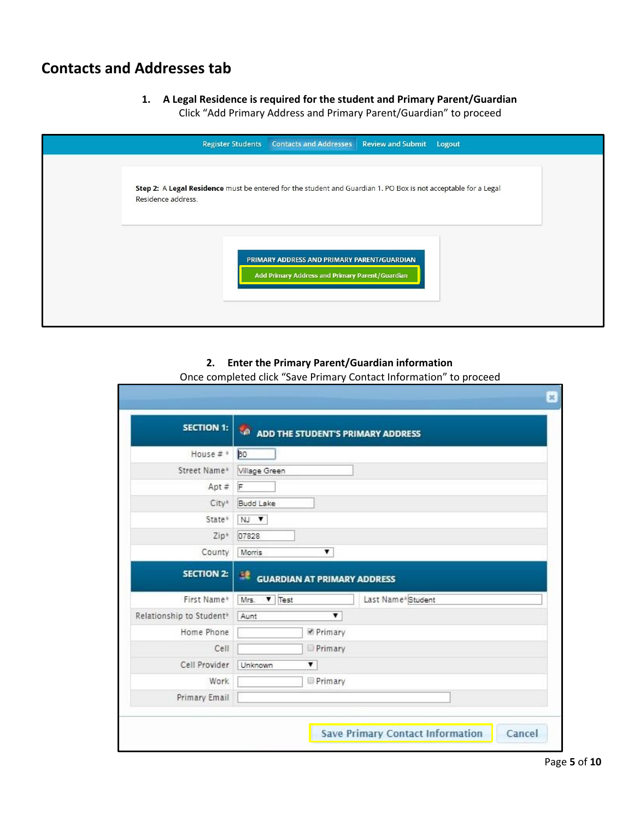## **Contacts and Addresses tab**

г

- **1. A Legal Residence is required for the student and Primary Parent/Guardian**
	- Click "Add Primary Address and Primary Parent/Guardian" to proceed

| <b>Contacts and Addresses</b><br><b>Review and Submit Logout</b><br><b>Register Students</b>                                         |
|--------------------------------------------------------------------------------------------------------------------------------------|
| Step 2: A Legal Residence must be entered for the student and Guardian 1. PO Box is not acceptable for a Legal<br>Residence address. |
| PRIMARY ADDRESS AND PRIMARY PARENT/GUARDIAN<br>Add Primary Address and Primary Parent/Guardian                                       |

### **2. Enter the Primary Parent/Guardian information**

|  | Once completed click "Save Primary Contact Information" to proceed |  |
|--|--------------------------------------------------------------------|--|
|--|--------------------------------------------------------------------|--|

| <b>SECTION 1:</b>         | ADD THE STUDENT'S PRIMARY ADDRESS                      |
|---------------------------|--------------------------------------------------------|
| House $\#$ $\frac{1}{20}$ |                                                        |
| Street Name*              | Village Green                                          |
| $Apt \#$                  | F                                                      |
| City <sup>*</sup>         | Budd Lake                                              |
| State*                    | NJ V                                                   |
| Zip <sup>+</sup>          | 07828                                                  |
| County                    | Morris<br>▼                                            |
| <b>SECTION 2:</b>         | 로<br><b>GUARDIAN AT PRIMARY ADDRESS</b>                |
| First Name*               | $\blacktriangledown$ Test<br>Last Name*Student<br>Mrs. |
| Relationship to Student*  | 7<br>Aunt                                              |
| Home Phone                | Primary                                                |
| Cell                      | Primary                                                |
|                           | Unknown<br>7                                           |
| Cell Provider             |                                                        |
| Work                      | Primary                                                |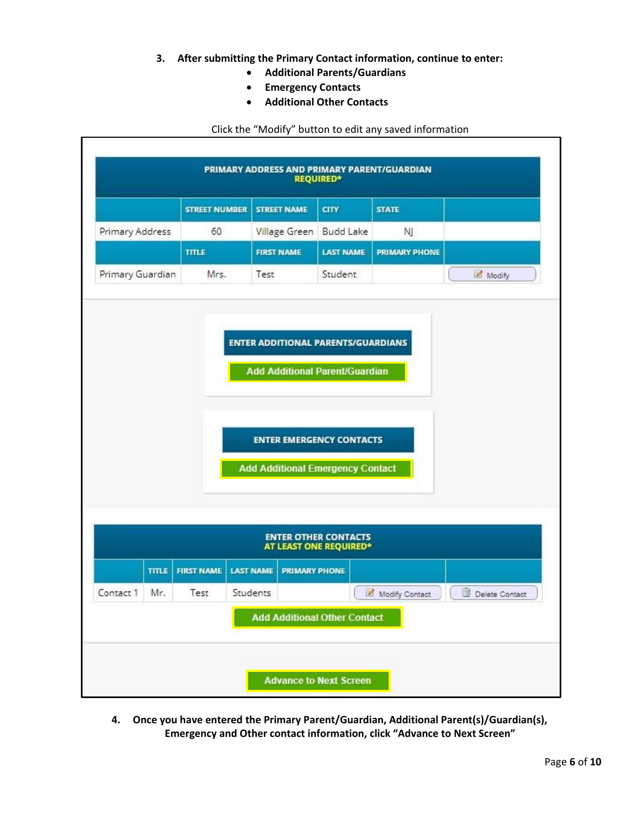- **3. After submitting the Primary Contact information, continue to enter:**
	- **Additional Parents/Guardians**
	- **Emergency Contacts**
	- **Additional Other Contacts**

### Click the "Modify" button to edit any saved information

|                                                                            |              | <b>STREET NUMBER</b> |                  | <b>STREET NAME</b>   | <b>CITY</b>                                           | <b>STATE</b>         |                |  |  |
|----------------------------------------------------------------------------|--------------|----------------------|------------------|----------------------|-------------------------------------------------------|----------------------|----------------|--|--|
| Primary Address                                                            |              | 60                   |                  | Village Green        | <b>Budd Lake</b>                                      | NJ.                  |                |  |  |
|                                                                            |              | <b>TITLE</b>         |                  | <b>FIRST NAME</b>    | <b>LAST NAME</b>                                      | <b>PRIMARY PHONE</b> |                |  |  |
| Primary Guardian                                                           |              | Mrs.                 | Test             |                      | Student                                               |                      | Modify         |  |  |
| <b>ENTER EMERGENCY CONTACTS</b><br><b>Add Additional Emergency Contact</b> |              |                      |                  |                      |                                                       |                      |                |  |  |
|                                                                            |              |                      |                  |                      | <b>ENTER OTHER CONTACTS</b><br>AT LEAST ONE REQUIRED* |                      |                |  |  |
|                                                                            | <b>TITLE</b> | <b>FIRST NAME</b>    | <b>LAST NAME</b> | <b>PRIMARY PHONE</b> |                                                       |                      |                |  |  |
| Contact 1                                                                  | Mr.          | Test                 | Students         |                      |                                                       | Modify Contact       | Delete Contact |  |  |
|                                                                            |              |                      |                  |                      | <b>Add Additional Other Contact</b>                   |                      |                |  |  |

**4. Once you have entered the Primary Parent/Guardian, Additional Parent(s)/Guardian(s), Emergency and Other contact information, click "Advance to Next Screen"**

٦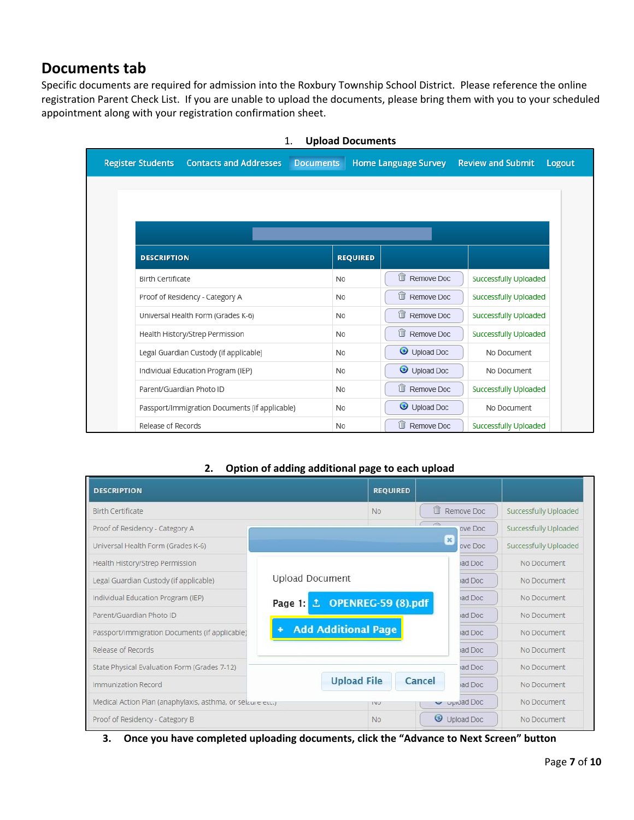### **Documents tab**

Specific documents are required for admission into the Roxbury Township School District. Please reference the online registration Parent Check List. If you are unable to upload the documents, please bring them with you to your scheduled appointment along with your registration confirmation sheet.

| <b>Contacts and Addresses</b><br><b>Register Students</b> | <b>Documents</b> | <b>Home Language Survey</b> | <b>Review and Submit</b><br>Logout |
|-----------------------------------------------------------|------------------|-----------------------------|------------------------------------|
|                                                           |                  |                             |                                    |
|                                                           |                  |                             |                                    |
|                                                           |                  |                             |                                    |
| <b>DESCRIPTION</b>                                        | <b>REQUIRED</b>  |                             |                                    |
| <b>Birth Certificate</b>                                  | <b>No</b>        | û<br>Remove Doc             | Successfully Uploaded              |
| Proof of Residency - Category A                           | <b>No</b>        | û<br>Remove Doc             | Successfully Uploaded              |
| Universal Health Form (Grades K-6)                        | <b>No</b>        | 朮<br>Remove Doc             | Successfully Uploaded              |
| Health History/Strep Permission                           | <b>No</b>        | û<br>Remove Doc             | Successfully Uploaded              |
| Legal Guardian Custody (if applicable)                    | <b>No</b>        | Upload Doc                  | No Document                        |
| Individual Education Program (IEP)                        | <b>No</b>        | Upload Doc                  | No Document                        |
| Parent/Guardian Photo ID                                  | <b>No</b>        | û<br>Remove Doc             | Successfully Uploaded              |
| Passport/Immigration Documents (if applicable)            | <b>No</b>        | Upload Doc                  | No Document                        |
| Release of Records                                        | <b>No</b>        | û<br>Remove Doc             | Successfully Uploaded              |

#### 1. **Upload Documents**

### **2. Option of adding additional page to each upload**

| <b>DESCRIPTION</b>                                         |                              | <b>REQUIRED</b>    |                          |            |                       |
|------------------------------------------------------------|------------------------------|--------------------|--------------------------|------------|-----------------------|
| <b>Birth Certificate</b>                                   |                              | No:                | T                        | Remove Doc | Successfully Uploaded |
| Proof of Residency - Category A                            |                              |                    | $\overline{\phantom{a}}$ | ove Doc    | Successfully Uploaded |
| Universal Health Form (Grades K-6)                         |                              |                    | $\pmb{\times}$           | ove Doc    | Successfully Uploaded |
| Health History/Strep Permission                            |                              |                    |                          | ad Doc     | No Document           |
| Legal Guardian Custody (if applicable)                     | <b>Upload Document</b>       |                    |                          | ad Doc     | No Document           |
| Individual Education Program (IEP)                         | Page 1: ± OPENREG-59 (8).pdf |                    |                          | ad Doc     | No Document           |
| Parent/Guardian Photo ID                                   |                              |                    |                          | iad Doc    | No Document           |
| Passport/Immigration Documents (if applicable)             | <b>Add Additional Page</b>   |                    |                          | ad Doc     | No Document           |
| Release of Records                                         |                              |                    |                          | ad Doc     | No Document.          |
| State Physical Evaluation Form (Grades 7-12)               |                              |                    |                          | ad Doc     | No Document           |
| Immunization Record                                        |                              | <b>Upload File</b> | Cancel                   | ad Doc     | No Document           |
| Medical Action Plan (anaphylaxis, asthma, or seizure etc.) |                              | <b>IVU</b>         |                          | opiuad Doc | No Document           |
| Proof of Residency - Category B                            |                              | No.                |                          | Upload Doc | No Document           |

**3. Once you have completed uploading documents, click the "Advance to Next Screen" button**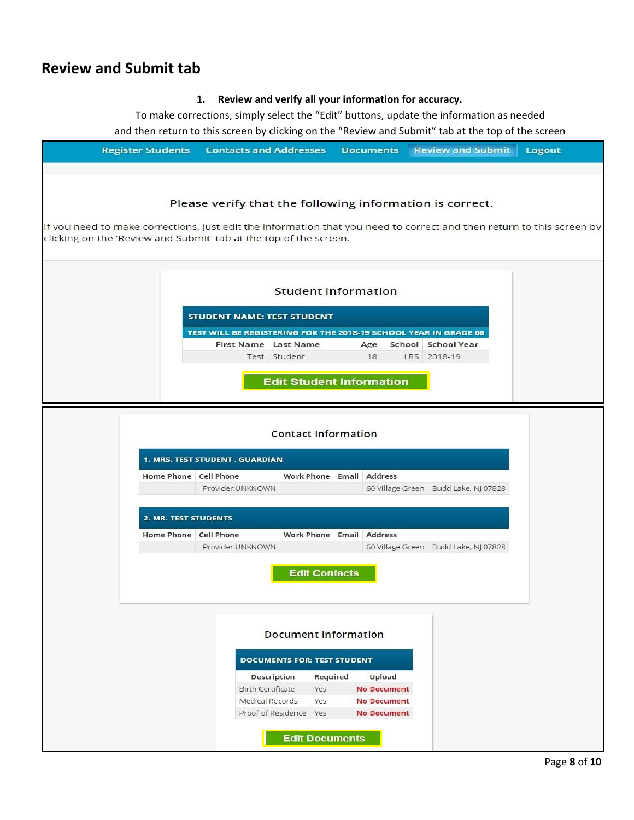### **Review and Submit tab**

### **1. Review and verify all your information for accuracy.**

To make corrections, simply select the "Edit" buttons, update the information as needed and then return to this screen by clicking on the "Review and Submit" tab at the top of the screen

| <b>Register Students</b> | <b>Contacts and Addresses</b>                                                                                                                 |                                    | <b>Documents</b>                         | <b>Review and Submit</b>                                                                                              | Logout |
|--------------------------|-----------------------------------------------------------------------------------------------------------------------------------------------|------------------------------------|------------------------------------------|-----------------------------------------------------------------------------------------------------------------------|--------|
|                          | Please verify that the following information is correct.<br>clicking on the 'Review and Submit' tab at the top of the screen.                 |                                    |                                          | If you need to make corrections, just edit the information that you need to correct and then return to this screen by |        |
|                          |                                                                                                                                               | <b>Student Information</b>         |                                          |                                                                                                                       |        |
|                          | <b>STUDENT NAME: TEST STUDENT</b><br>TEST WILL BE REGISTERING FOR THE 2018-19 SCHOOL YEAR IN GRADE 06<br>First Name Last Name<br>Test Student | <b>Edit Student Information</b>    | Age<br>18                                | School School Year<br>LRS 2018-19                                                                                     |        |
|                          |                                                                                                                                               | <b>Contact Information</b>         |                                          |                                                                                                                       |        |
|                          | 1. MRS. TEST STUDENT, GUARDIAN<br>Home Phone Cell Phone<br>Provider:UNKNOWN                                                                   | Work Phone Email Address           |                                          | 60 Village Green Budd Lake, NJ 07828                                                                                  |        |
|                          | 2. MR. TEST STUDENTS                                                                                                                          |                                    |                                          |                                                                                                                       |        |
|                          | Home Phone Cell Phone<br>Provider:UNKNOWN                                                                                                     | Work Phone Email Address           |                                          | 60 Village Green Budd Lake, NJ 07828                                                                                  |        |
|                          |                                                                                                                                               | <b>Edit Contacts</b>               |                                          |                                                                                                                       |        |
|                          |                                                                                                                                               | <b>Document Information</b>        |                                          |                                                                                                                       |        |
|                          |                                                                                                                                               | <b>DOCUMENTS FOR: TEST STUDENT</b> |                                          |                                                                                                                       |        |
|                          | Description<br><b>Birth Certificate</b>                                                                                                       | Required<br>Yes                    | Upload<br><b>No Document</b>             |                                                                                                                       |        |
|                          | Medical Records                                                                                                                               | Yes<br>Proof of Residence Yes      | <b>No Document</b><br><b>No Document</b> |                                                                                                                       |        |
|                          |                                                                                                                                               | <b>Edit Documents</b>              |                                          |                                                                                                                       |        |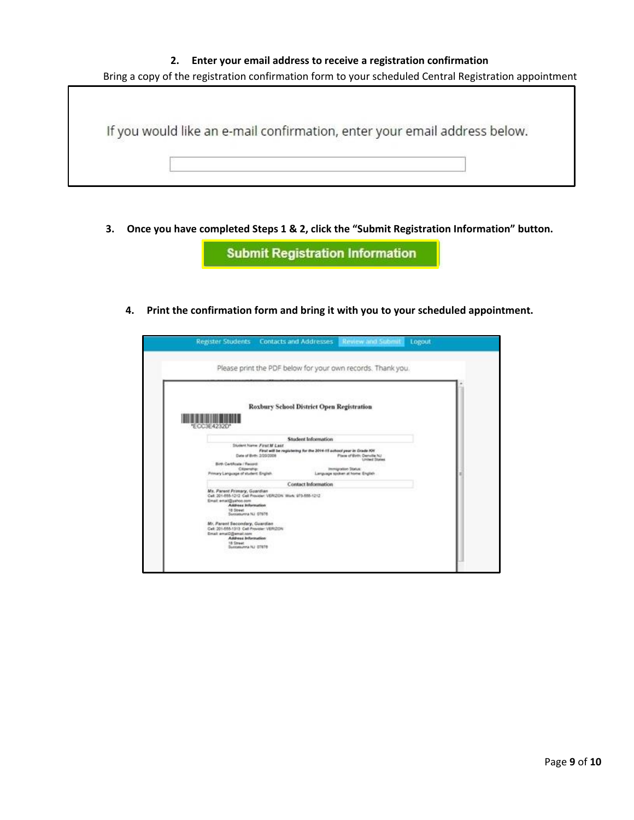#### **2. Enter your email address to receive a registration confirmation**



**3. Once you have completed Steps 1 & 2, click the "Submit Registration Information" button.**

**Submit Registration Information** 

**4. Print the confirmation form and bring it with you to your scheduled appointment.**

| Please print the PDF below for your own records. Thank you.<br>Roxbury School District Open Registration<br><b>Student Information</b><br><b>Student Name: First M Last</b><br>First will be registering for the 2014-15 school year in Grade AH<br>Date of Birth: 3/20/2008<br>Place of Birth: Denuite NJ<br><b>Livingd States</b><br>immunation Status:<br>Language spoken at home: English<br><b>Contact Information</b> |
|-----------------------------------------------------------------------------------------------------------------------------------------------------------------------------------------------------------------------------------------------------------------------------------------------------------------------------------------------------------------------------------------------------------------------------|
| Birth Certificate / Record:<br>Clineratie<br>Primary Language of student English.<br>Ms. Parent Primary, Guardian<br>Cell: 201-885-1212 Cell Provider: VERIZON Work: 973-885-1212<br>Email email@uahoo.com<br>Address Information<br><b>18 Street</b><br>Scotatorina NJ 07678<br>Mr. Parent Secondary, Guardian<br>Cell: 201-555-1313 Cell Provider: VERIZION<br>Email: email@@email.com<br>Address Information             |